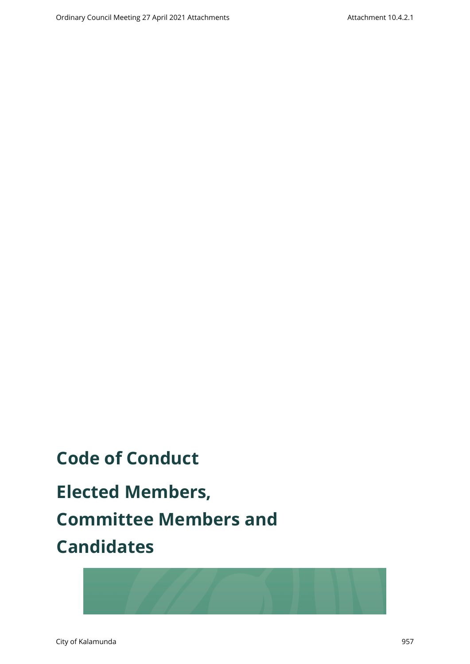# **Code of Conduct**

**Elected Members, Committee Members and Candidates**

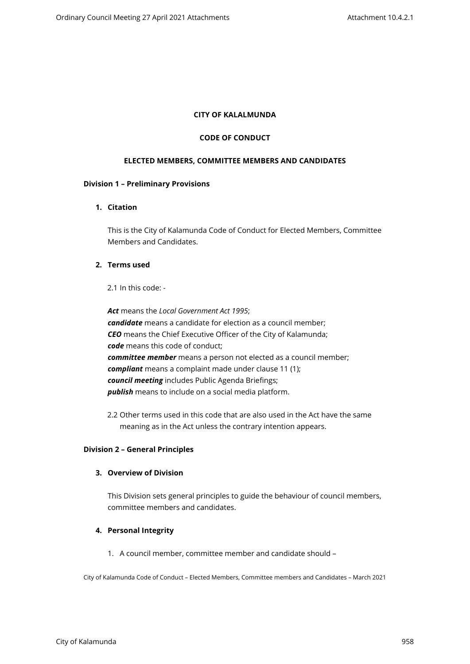#### **CITY OF KALALMUNDA**

#### **CODE OF CONDUCT**

#### **ELECTED MEMBERS, COMMITTEE MEMBERS AND CANDIDATES**

#### **Division 1 – Preliminary Provisions**

## **1. Citation**

This is the City of Kalamunda Code of Conduct for Elected Members, Committee Members and Candidates.

# **2. Terms used**

2.1 In this code: -

*Act* means the *Local Government Act 1995*; *candidate* means a candidate for election as a council member; *CEO* means the Chief Executive Officer of the City of Kalamunda; *code* means this code of conduct; *committee member* means a person not elected as a council member; *compliant* means a complaint made under clause 11 (1); *council meeting* includes Public Agenda Briefings; *publish* means to include on a social media platform.

2.2 Other terms used in this code that are also used in the Act have the same meaning as in the Act unless the contrary intention appears.

#### **Division 2 – General Principles**

#### **3. Overview of Division**

This Division sets general principles to guide the behaviour of council members, committee members and candidates.

## **4. Personal Integrity**

1. A council member, committee member and candidate should –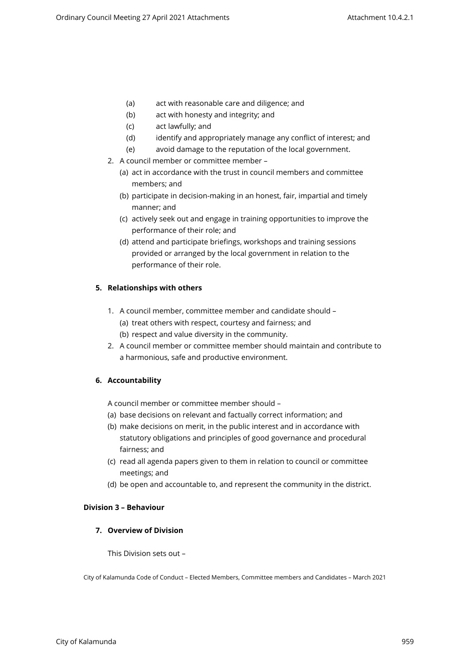- (a) act with reasonable care and diligence; and
- (b) act with honesty and integrity; and
- (c) act lawfully; and
- (d) identify and appropriately manage any conflict of interest; and
- (e) avoid damage to the reputation of the local government.
- 2. A council member or committee member
	- (a) act in accordance with the trust in council members and committee members; and
	- (b) participate in decision-making in an honest, fair, impartial and timely manner; and
	- (c) actively seek out and engage in training opportunities to improve the performance of their role; and
	- (d) attend and participate briefings, workshops and training sessions provided or arranged by the local government in relation to the performance of their role.

# **5. Relationships with others**

- 1. A council member, committee member and candidate should (a) treat others with respect, courtesy and fairness; and (b) respect and value diversity in the community.
- 2. A council member or committee member should maintain and contribute to a harmonious, safe and productive environment.

# **6. Accountability**

A council member or committee member should –

- (a) base decisions on relevant and factually correct information; and
- (b) make decisions on merit, in the public interest and in accordance with statutory obligations and principles of good governance and procedural fairness; and
- (c) read all agenda papers given to them in relation to council or committee meetings; and
- (d) be open and accountable to, and represent the community in the district.

## **Division 3 – Behaviour**

# **7. Overview of Division**

This Division sets out –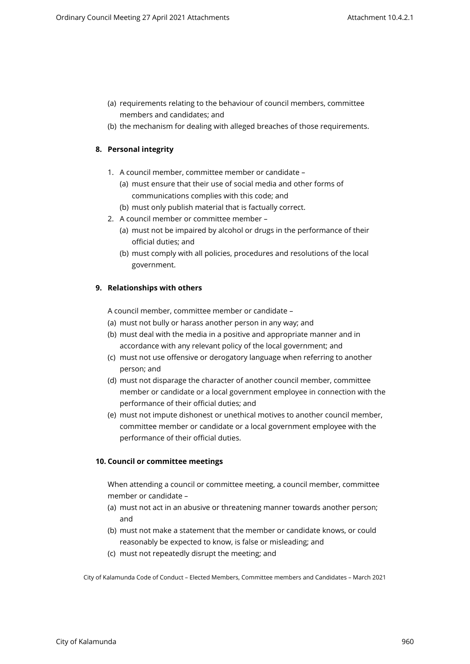- (a) requirements relating to the behaviour of council members, committee members and candidates; and
- (b) the mechanism for dealing with alleged breaches of those requirements.

# **8. Personal integrity**

- 1. A council member, committee member or candidate
	- (a) must ensure that their use of social media and other forms of communications complies with this code; and
	- (b) must only publish material that is factually correct.
- 2. A council member or committee member
	- (a) must not be impaired by alcohol or drugs in the performance of their official duties; and
	- (b) must comply with all policies, procedures and resolutions of the local government.

# **9. Relationships with others**

A council member, committee member or candidate –

- (a) must not bully or harass another person in any way; and
- (b) must deal with the media in a positive and appropriate manner and in accordance with any relevant policy of the local government; and
- (c) must not use offensive or derogatory language when referring to another person; and
- (d) must not disparage the character of another council member, committee member or candidate or a local government employee in connection with the performance of their official duties; and
- (e) must not impute dishonest or unethical motives to another council member, committee member or candidate or a local government employee with the performance of their official duties.

# **10. Council or committee meetings**

When attending a council or committee meeting, a council member, committee member or candidate –

- (a) must not act in an abusive or threatening manner towards another person; and
- (b) must not make a statement that the member or candidate knows, or could reasonably be expected to know, is false or misleading; and
- (c) must not repeatedly disrupt the meeting; and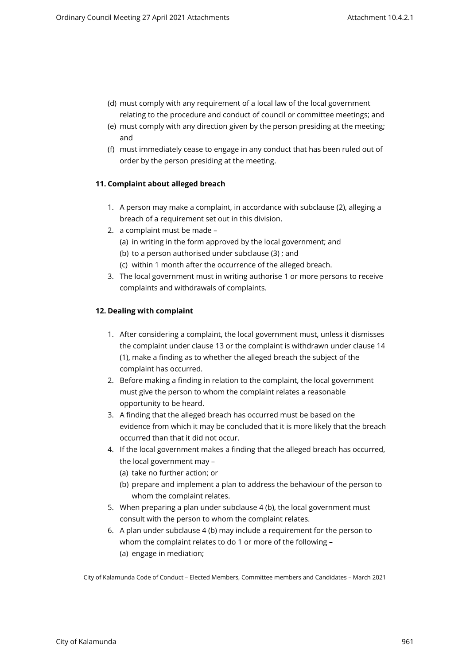- (d) must comply with any requirement of a local law of the local government relating to the procedure and conduct of council or committee meetings; and
- (e) must comply with any direction given by the person presiding at the meeting; and
- (f) must immediately cease to engage in any conduct that has been ruled out of order by the person presiding at the meeting.

# **11. Complaint about alleged breach**

- 1. A person may make a complaint, in accordance with subclause (2), alleging a breach of a requirement set out in this division.
- 2. a complaint must be made
	- (a) in writing in the form approved by the local government; and
	- (b) to a person authorised under subclause (3) ; and
	- (c) within 1 month after the occurrence of the alleged breach.
- 3. The local government must in writing authorise 1 or more persons to receive complaints and withdrawals of complaints.

# **12. Dealing with complaint**

- 1. After considering a complaint, the local government must, unless it dismisses the complaint under clause 13 or the complaint is withdrawn under clause 14 (1), make a finding as to whether the alleged breach the subject of the complaint has occurred.
- 2. Before making a finding in relation to the complaint, the local government must give the person to whom the complaint relates a reasonable opportunity to be heard.
- 3. A finding that the alleged breach has occurred must be based on the evidence from which it may be concluded that it is more likely that the breach occurred than that it did not occur.
- 4. If the local government makes a finding that the alleged breach has occurred, the local government may –
	- (a) take no further action; or
	- (b) prepare and implement a plan to address the behaviour of the person to whom the complaint relates.
- 5. When preparing a plan under subclause 4 (b), the local government must consult with the person to whom the complaint relates.
- 6. A plan under subclause 4 (b) may include a requirement for the person to whom the complaint relates to do 1 or more of the following – (a) engage in mediation;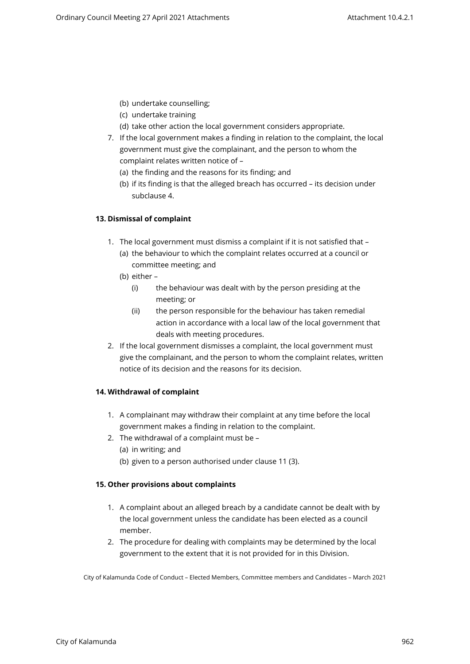- (b) undertake counselling;
- (c) undertake training
- (d) take other action the local government considers appropriate.
- 7. If the local government makes a finding in relation to the complaint, the local government must give the complainant, and the person to whom the complaint relates written notice of –
	- (a) the finding and the reasons for its finding; and
	- (b) if its finding is that the alleged breach has occurred its decision under subclause 4.

# **13. Dismissal of complaint**

- 1. The local government must dismiss a complaint if it is not satisfied that
	- (a) the behaviour to which the complaint relates occurred at a council or committee meeting; and
	- (b) either
		- (i) the behaviour was dealt with by the person presiding at the meeting; or
		- (ii) the person responsible for the behaviour has taken remedial action in accordance with a local law of the local government that deals with meeting procedures.
- 2. If the local government dismisses a complaint, the local government must give the complainant, and the person to whom the complaint relates, written notice of its decision and the reasons for its decision.

# **14. Withdrawal of complaint**

- 1. A complainant may withdraw their complaint at any time before the local government makes a finding in relation to the complaint.
- 2. The withdrawal of a complaint must be
	- (a) in writing; and
	- (b) given to a person authorised under clause 11 (3).

## **15. Other provisions about complaints**

- 1. A complaint about an alleged breach by a candidate cannot be dealt with by the local government unless the candidate has been elected as a council member.
- 2. The procedure for dealing with complaints may be determined by the local government to the extent that it is not provided for in this Division.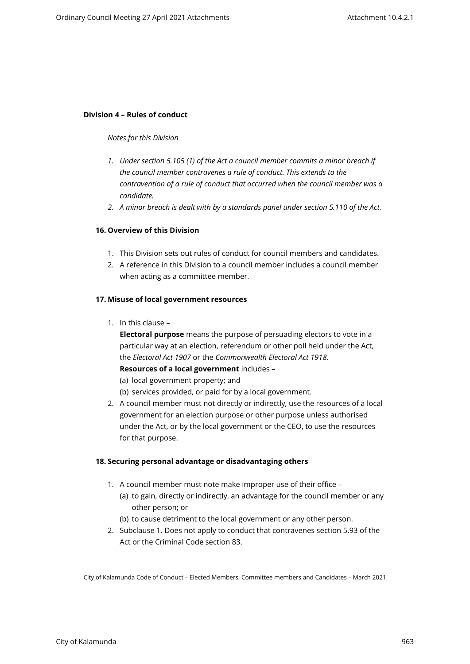#### **Division 4 – Rules of conduct**

#### *Notes for this Division*

- *1. Under section 5.105 (1) of the Act a council member commits a minor breach if the council member contravenes a rule of conduct. This extends to the contravention of a rule of conduct that occurred when the council member was a candidate.*
- *2. A minor breach is dealt with by a standards panel under section 5.110 of the Act.*

## **16. Overview of this Division**

- 1. This Division sets out rules of conduct for council members and candidates.
- 2. A reference in this Division to a council member includes a council member when acting as a committee member.

#### **17. Misuse of local government resources**

1. In this clause –

**Electoral purpose** means the purpose of persuading electors to vote in a particular way at an election, referendum or other poll held under the Act, the *Electoral Act 1907* or the *Commonwealth Electoral Act 1918.* **Resources of a local government** includes –

- 
- (a) local government property; and
- (b) services provided, or paid for by a local government.
- 2. A council member must not directly or indirectly, use the resources of a local government for an election purpose or other purpose unless authorised under the Act, or by the local government or the CEO, to use the resources for that purpose.

#### **18. Securing personal advantage or disadvantaging others**

- 1. A council member must note make improper use of their office
	- (a) to gain, directly or indirectly, an advantage for the council member or any other person; or
	- (b) to cause detriment to the local government or any other person.
- 2. Subclause 1. Does not apply to conduct that contravenes section 5.93 of the Act or the Criminal Code section 83.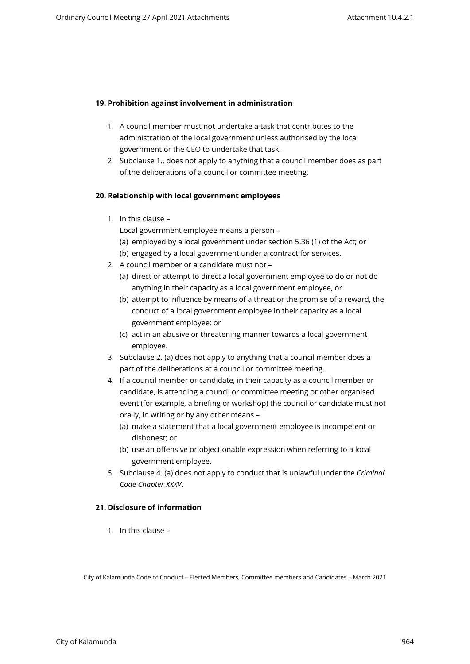# **19. Prohibition against involvement in administration**

- 1. A council member must not undertake a task that contributes to the administration of the local government unless authorised by the local government or the CEO to undertake that task.
- 2. Subclause 1., does not apply to anything that a council member does as part of the deliberations of a council or committee meeting.

## **20. Relationship with local government employees**

1. In this clause –

Local government employee means a person –

- (a) employed by a local government under section 5.36 (1) of the Act; or
- (b) engaged by a local government under a contract for services.
- 2. A council member or a candidate must not
	- (a) direct or attempt to direct a local government employee to do or not do anything in their capacity as a local government employee, or
	- (b) attempt to influence by means of a threat or the promise of a reward, the conduct of a local government employee in their capacity as a local government employee; or
	- (c) act in an abusive or threatening manner towards a local government employee.
- 3. Subclause 2. (a) does not apply to anything that a council member does a part of the deliberations at a council or committee meeting.
- 4. If a council member or candidate, in their capacity as a council member or candidate, is attending a council or committee meeting or other organised event (for example, a briefing or workshop) the council or candidate must not orally, in writing or by any other means –
	- (a) make a statement that a local government employee is incompetent or dishonest; or
	- (b) use an offensive or objectionable expression when referring to a local government employee.
- 5. Subclause 4. (a) does not apply to conduct that is unlawful under the *Criminal Code Chapter XXXV*.

## **21. Disclosure of information**

1. In this clause –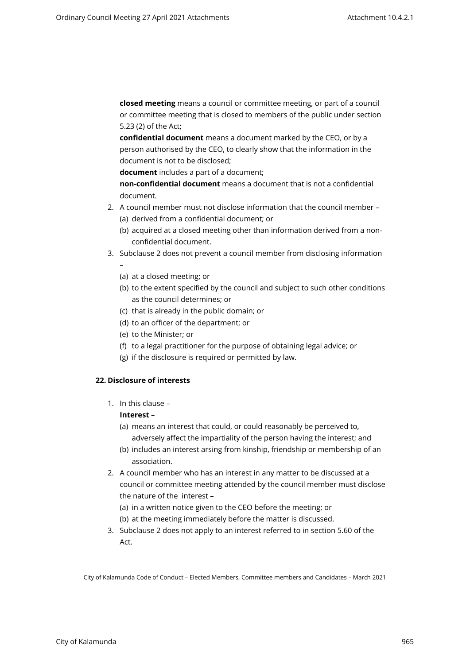**closed meeting** means a council or committee meeting, or part of a council or committee meeting that is closed to members of the public under section 5.23 (2) of the Act;

**confidential document** means a document marked by the CEO, or by a person authorised by the CEO, to clearly show that the information in the document is not to be disclosed;

**document** includes a part of a document;

**non-confidential document** means a document that is not a confidential document.

- 2. A council member must not disclose information that the council member (a) derived from a confidential document; or
	- (b) acquired at a closed meeting other than information derived from a nonconfidential document.
- 3. Subclause 2 does not prevent a council member from disclosing information –
	- (a) at a closed meeting; or
	- (b) to the extent specified by the council and subject to such other conditions as the council determines; or
	- (c) that is already in the public domain; or
	- (d) to an officer of the department; or
	- (e) to the Minister; or
	- (f) to a legal practitioner for the purpose of obtaining legal advice; or
	- (g) if the disclosure is required or permitted by law.

## **22. Disclosure of interests**

1. In this clause –

## **Interest** –

- (a) means an interest that could, or could reasonably be perceived to,
- adversely affect the impartiality of the person having the interest; and (b) includes an interest arsing from kinship, friendship or membership of an
	- association.
- 2. A council member who has an interest in any matter to be discussed at a council or committee meeting attended by the council member must disclose the nature of the interest –
	- (a) in a written notice given to the CEO before the meeting; or
	- (b) at the meeting immediately before the matter is discussed.
- 3. Subclause 2 does not apply to an interest referred to in section 5.60 of the Act.